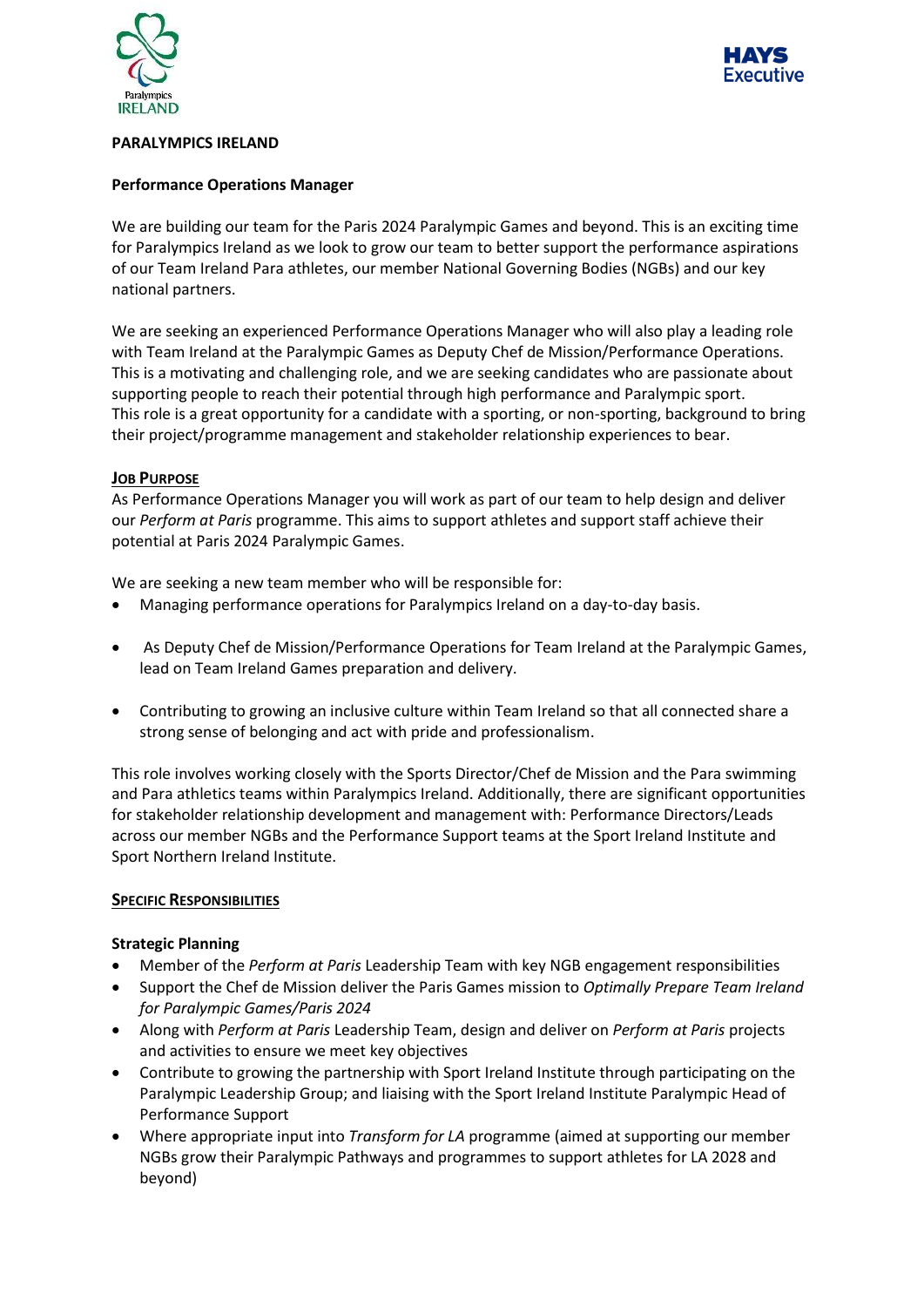



#### **PARALYMPICS IRELAND**

#### **Performance Operations Manager**

We are building our team for the Paris 2024 Paralympic Games and beyond. This is an exciting time for Paralympics Ireland as we look to grow our team to better support the performance aspirations of our Team Ireland Para athletes, our member National Governing Bodies (NGBs) and our key national partners.

We are seeking an experienced Performance Operations Manager who will also play a leading role with Team Ireland at the Paralympic Games as Deputy Chef de Mission/Performance Operations. This is a motivating and challenging role, and we are seeking candidates who are passionate about supporting people to reach their potential through high performance and Paralympic sport. This role is a great opportunity for a candidate with a sporting, or non-sporting, background to bring their project/programme management and stakeholder relationship experiences to bear.

#### **JOB PURPOSE**

As Performance Operations Manager you will work as part of our team to help design and deliver our *Perform at Paris* programme. This aims to support athletes and support staff achieve their potential at Paris 2024 Paralympic Games.

We are seeking a new team member who will be responsible for:

- Managing performance operations for Paralympics Ireland on a day-to-day basis.
- As Deputy Chef de Mission/Performance Operations for Team Ireland at the Paralympic Games, lead on Team Ireland Games preparation and delivery.
- Contributing to growing an inclusive culture within Team Ireland so that all connected share a strong sense of belonging and act with pride and professionalism.

This role involves working closely with the Sports Director/Chef de Mission and the Para swimming and Para athletics teams within Paralympics Ireland. Additionally, there are significant opportunities for stakeholder relationship development and management with: Performance Directors/Leads across our member NGBs and the Performance Support teams at the Sport Ireland Institute and Sport Northern Ireland Institute.

### **SPECIFIC RESPONSIBILITIES**

#### **Strategic Planning**

- Member of the *Perform at Paris* Leadership Team with key NGB engagement responsibilities
- Support the Chef de Mission deliver the Paris Games mission to *Optimally Prepare Team Ireland for Paralympic Games/Paris 2024*
- Along with *Perform at Paris* Leadership Team, design and deliver on *Perform at Paris* projects and activities to ensure we meet key objectives
- Contribute to growing the partnership with Sport Ireland Institute through participating on the Paralympic Leadership Group; and liaising with the Sport Ireland Institute Paralympic Head of Performance Support
- Where appropriate input into *Transform for LA* programme (aimed at supporting our member NGBs grow their Paralympic Pathways and programmes to support athletes for LA 2028 and beyond)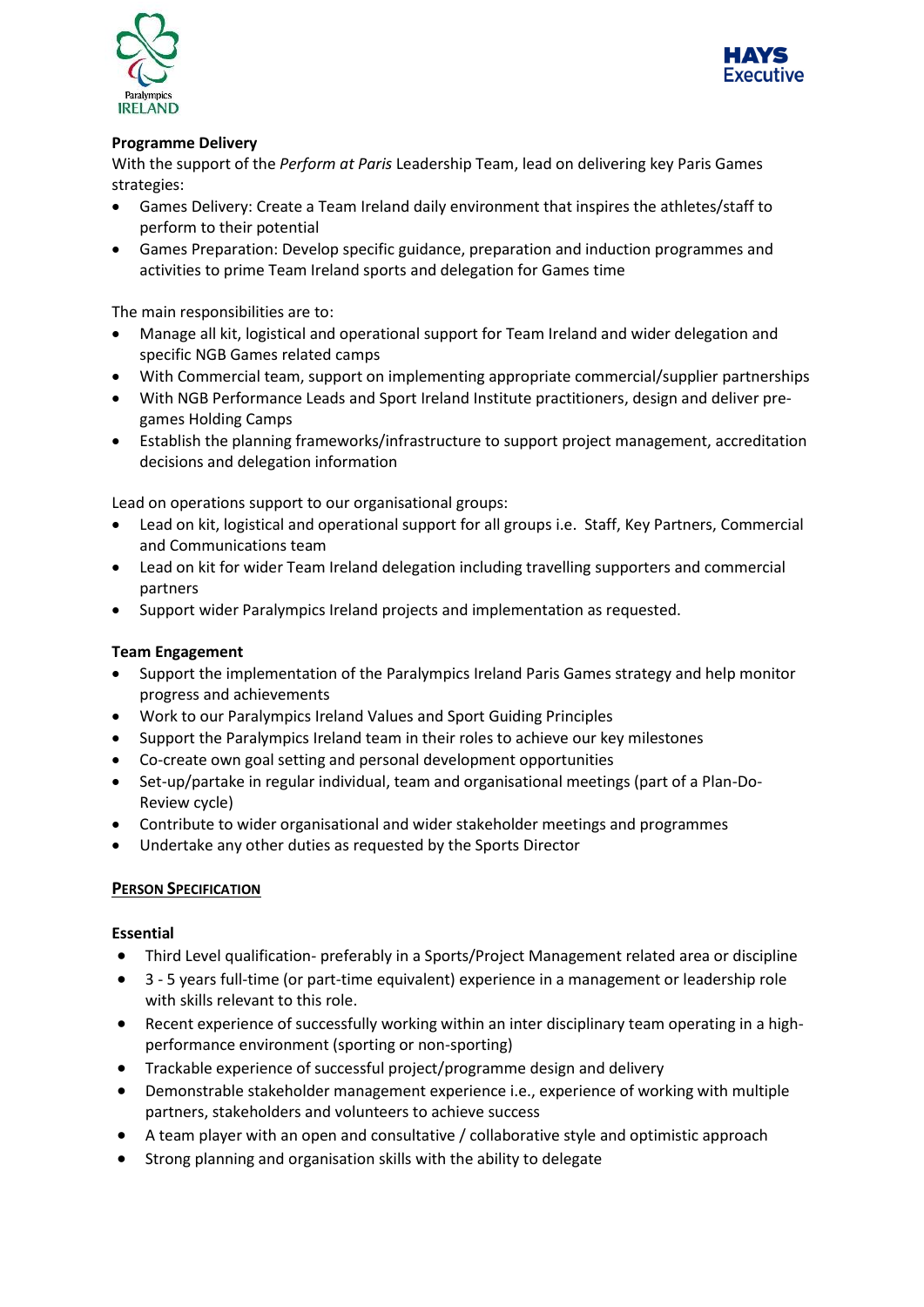



# **Programme Delivery**

With the support of the *Perform at Paris* Leadership Team, lead on delivering key Paris Games strategies:

- Games Delivery: Create a Team Ireland daily environment that inspires the athletes/staff to perform to their potential
- Games Preparation: Develop specific guidance, preparation and induction programmes and activities to prime Team Ireland sports and delegation for Games time

The main responsibilities are to:

- Manage all kit, logistical and operational support for Team Ireland and wider delegation and specific NGB Games related camps
- With Commercial team, support on implementing appropriate commercial/supplier partnerships
- With NGB Performance Leads and Sport Ireland Institute practitioners, design and deliver pregames Holding Camps
- Establish the planning frameworks/infrastructure to support project management, accreditation decisions and delegation information

Lead on operations support to our organisational groups:

- Lead on kit, logistical and operational support for all groups i.e. Staff, Key Partners, Commercial and Communications team
- Lead on kit for wider Team Ireland delegation including travelling supporters and commercial partners
- Support wider Paralympics Ireland projects and implementation as requested.

# **Team Engagement**

- Support the implementation of the Paralympics Ireland Paris Games strategy and help monitor progress and achievements
- Work to our Paralympics Ireland Values and Sport Guiding Principles
- Support the Paralympics Ireland team in their roles to achieve our key milestones
- Co-create own goal setting and personal development opportunities
- Set-up/partake in regular individual, team and organisational meetings (part of a Plan-Do-Review cycle)
- Contribute to wider organisational and wider stakeholder meetings and programmes
- Undertake any other duties as requested by the Sports Director

### **PERSON SPECIFICATION**

### **Essential**

- Third Level qualification- preferably in a Sports/Project Management related area or discipline
- 3 5 years full-time (or part-time equivalent) experience in a management or leadership role with skills relevant to this role.
- Recent experience of successfully working within an inter disciplinary team operating in a highperformance environment (sporting or non-sporting)
- Trackable experience of successful project/programme design and delivery
- Demonstrable stakeholder management experience i.e., experience of working with multiple partners, stakeholders and volunteers to achieve success
- A team player with an open and consultative / collaborative style and optimistic approach
- Strong planning and organisation skills with the ability to delegate